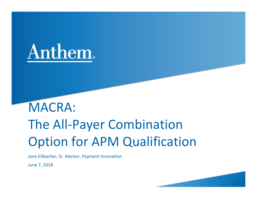

# MACRA: The All‐Payer Combination Option for APM Qualification

Jane Eilbacher, Sr. Advisor, Payment Innovation

June 7, 2018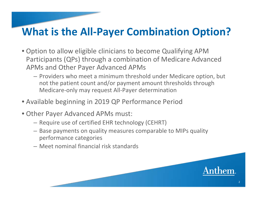## **What is the All‐Payer Combination Option?**

- Option to allow eligible clinicians to become Qualifying APM Participants (QPs) through <sup>a</sup> combination of Medicare Advanced APMs and Other Payer Advanced APMs
	- Providers who meet a minimum threshold under Medicare option, but not the patient count and/or payment amount thresholds through Medicare‐only may request All‐Payer determination
- Available beginning in 2019 QP Performance Period
- Other Payer Advanced APMs must:
	- Require use of certified EHR technology (CEHRT)
	- Base payments on quality measures comparable to MIPs quality performance categories
	- Meet nominal financial risk standards

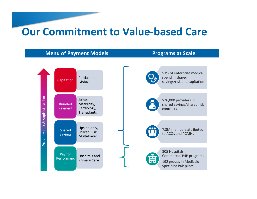### **Our Commitment to Value‐based Care**

#### **Menu of Payment Models Programs at Scale**





53% of enterprise medical spend in shared savings/risk and capitation

>76,000 providers in shared savings/shared risk contracts

2 ., 7.3M members attributed to ACOs and PCMHs

805 Hospitals in Commercial P4P programs 192 groups in Medicaid Specialist P4P pilots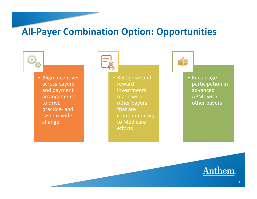#### **All‐Payer Combination Option: Opportunities**



• Align incentives across payers and payment arrangements to drive practice‐ and system‐wide change



• Recognize and rewardinvestments made withother payers that arecomplementary to Medicare efforts



• Encourage participation in advancedAPMs withother payers

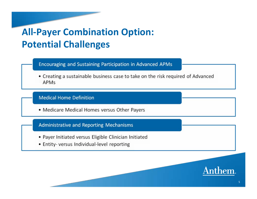## **All-Payer Combination Option: Potential Challenges**

Encouraging and Sustaining Participation in Advanced APMs

• Creating a sustainable business case to take on the risk required of Advanced APMs

#### **Medical Home Definition**

• Medicare Medical Homes versus Other Payers

#### **Administrative and Reporting Mechanisms**

- Payer Initiated versus Eligible Clinician Initiated
- Entity- versus Individual-level reporting